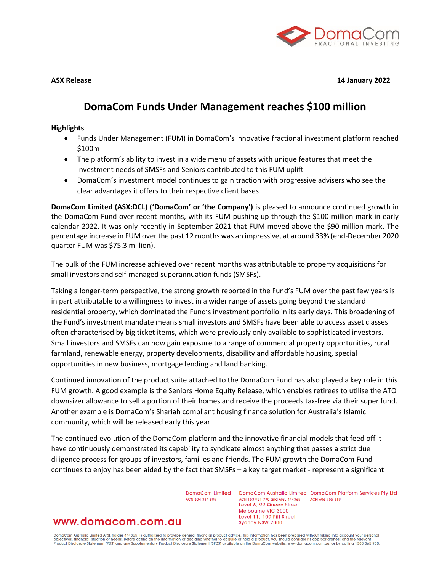

**ASX Release 14 January 2022**

# **DomaCom Funds Under Management reaches \$100 million**

#### **Highlights**

- Funds Under Management (FUM) in DomaCom's innovative fractional investment platform reached \$100m
- The platform's ability to invest in a wide menu of assets with unique features that meet the investment needs of SMSFs and Seniors contributed to this FUM uplift
- DomaCom's investment model continues to gain traction with progressive advisers who see the clear advantages it offers to their respective client bases

**DomaCom Limited (ASX:DCL) ('DomaCom' or 'the Company')** is pleased to announce continued growth in the DomaCom Fund over recent months, with its FUM pushing up through the \$100 million mark in early calendar 2022. It was only recently in September 2021 that FUM moved above the \$90 million mark. The percentage increase in FUM over the past 12 months was an impressive, at around 33% (end-December 2020 quarter FUM was \$75.3 million).

The bulk of the FUM increase achieved over recent months was attributable to property acquisitions for small investors and self-managed superannuation funds (SMSFs).

Taking a longer-term perspective, the strong growth reported in the Fund's FUM over the past few years is in part attributable to a willingness to invest in a wider range of assets going beyond the standard residential property, which dominated the Fund's investment portfolio in its early days. This broadening of the Fund's investment mandate means small investors and SMSFs have been able to access asset classes often characterised by big ticket items, which were previously only available to sophisticated investors. Small investors and SMSFs can now gain exposure to a range of commercial property opportunities, rural farmland, renewable energy, property developments, disability and affordable housing, special opportunities in new business, mortgage lending and land banking.

Continued innovation of the product suite attached to the DomaCom Fund has also played a key role in this FUM growth. A good example is the Seniors Home Equity Release, which enables retirees to utilise the ATO downsizer allowance to sell a portion of their homes and receive the proceeds tax-free via their super fund. Another example is DomaCom's Shariah compliant housing finance solution for Australia's Islamic community, which will be released early this year.

The continued evolution of the DomaCom platform and the innovative financial models that feed off it have continuously demonstrated its capability to syndicate almost anything that passes a strict due diligence process for groups of investors, families and friends. The FUM growth the DomaCom Fund continues to enjoy has been aided by the fact that SMSFs – a key target market - represent a significant

ACN 604 384 885

DomaCom Limited DomaCom Australia Limited DomaCom Platform Services Pty Ltd ACN 153 951 770 and AFSL 444365 ACN 606 755 319 Level 6, 99 Queen Street Melbourne VIC 3000 Level 11, 109 Pitt Street Sydney NSW 2000

## www.domacom.com.au

DomaCom Australia Limited AFSL holder 444365, is authorised to provide general financial product advice. This information has been prepared without taking into account your personal<br>objectives, financial situation or needs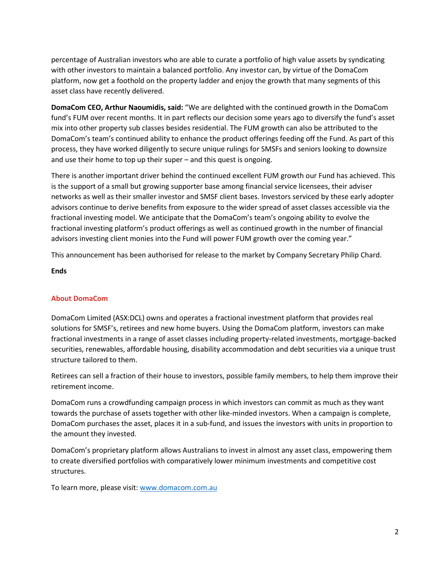percentage of Australian investors who are able to curate a portfolio of high value assets by syndicating with other investors to maintain a balanced portfolio. Any investor can, by virtue of the DomaCom platform, now get a foothold on the property ladder and enjoy the growth that many segments of this asset class have recently delivered.

**DomaCom CEO, Arthur Naoumidis, said:** "We are delighted with the continued growth in the DomaCom fund's FUM over recent months. It in part reflects our decision some years ago to diversify the fund's asset mix into other property sub classes besides residential. The FUM growth can also be attributed to the DomaCom's team's continued ability to enhance the product offerings feeding off the Fund. As part of this process, they have worked diligently to secure unique rulings for SMSFs and seniors looking to downsize and use their home to top up their super – and this quest is ongoing.

There is another important driver behind the continued excellent FUM growth our Fund has achieved. This is the support of a small but growing supporter base among financial service licensees, their adviser networks as well as their smaller investor and SMSF client bases. Investors serviced by these early adopter advisors continue to derive benefits from exposure to the wider spread of asset classes accessible via the fractional investing model. We anticipate that the DomaCom's team's ongoing ability to evolve the fractional investing platform's product offerings as well as continued growth in the number of financial advisors investing client monies into the Fund will power FUM growth over the coming year."

This announcement has been authorised for release to the market by Company Secretary Philip Chard.

### **Ends**

## **About DomaCom**

DomaCom Limited (ASX:DCL) owns and operates a fractional investment platform that provides real solutions for SMSF's, retirees and new home buyers. Using the DomaCom platform, investors can make fractional investments in a range of asset classes including property-related investments, mortgage-backed securities, renewables, affordable housing, disability accommodation and debt securities via a unique trust structure tailored to them.

Retirees can sell a fraction of their house to investors, possible family members, to help them improve their retirement income.

DomaCom runs a crowdfunding campaign process in which investors can commit as much as they want towards the purchase of assets together with other like-minded investors. When a campaign is complete, DomaCom purchases the asset, places it in a sub-fund, and issues the investors with units in proportion to the amount they invested.

DomaCom's proprietary platform allows Australians to invest in almost any asset class, empowering them to create diversified portfolios with comparatively lower minimum investments and competitive cost structures.

To learn more, please visit: [www.domacom.com.au](http://www.domacom.com.au/)